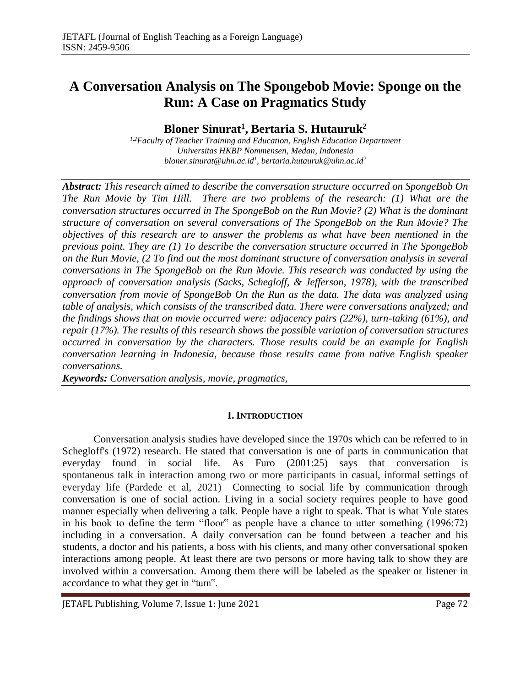# **A Conversation Analysis on The Spongebob Movie: Sponge on the Run: A Case on Pragmatics Study**

# **Bloner Sinurat<sup>1</sup> , Bertaria S. Hutauruk<sup>2</sup>**

*1,2Faculty of Teacher Training and Education, English Education Department Universitas HKBP Nommensen, Medan, Indonesia bloner.sinurat@uhn.ac.id<sup>1</sup> , bertaria.hutauruk@uhn.ac.id<sup>2</sup>*

*Abstract: This research aimed to describe the conversation structure occurred on SpongeBob On The Run Movie by Tim Hill. There are two problems of the research: (1) What are the conversation structures occurred in The SpongeBob on the Run Movie? (2) What is the dominant structure of conversation on several conversations of The SpongeBob on the Run Movie? The objectives of this research are to answer the problems as what have been mentioned in the previous point. They are (1) To describe the conversation structure occurred in The SpongeBob on the Run Movie, (2 To find out the most dominant structure of conversation analysis in several conversations in The SpongeBob on the Run Movie. This research was conducted by using the approach of conversation analysis (Sacks, Schegloff, & Jefferson, 1978), with the transcribed conversation from movie of SpongeBob On the Run as the data. The data was analyzed using table of analysis, which consists of the transcribed data. There were conversations analyzed; and the findings shows that on movie occurred were: adjacency pairs (22%), turn-taking (61%), and repair (17%). The results of this research shows the possible variation of conversation structures occurred in conversation by the characters. Those results could be an example for English conversation learning in Indonesia, because those results came from native English speaker conversations.* 

*Keywords: Conversation analysis, movie, pragmatics,* 

#### **I. INTRODUCTION**

Conversation analysis studies have developed since the 1970s which can be referred to in Schegloff's (1972) research. He stated that conversation is one of parts in communication that everyday found in social life. As Furo (2001:25) says that conversation is spontaneous talk in interaction among two or more participants in casual, informal settings of everyday life (Pardede et al, 2021) Connecting to social life by communication through conversation is one of social action. Living in a social society requires people to have good manner especially when delivering a talk. People have a right to speak. That is what Yule states in his book to define the term "floor" as people have a chance to utter something (1996:72) including in a conversation. A daily conversation can be found between a teacher and his students, a doctor and his patients, a boss with his clients, and many other conversational spoken interactions among people. At least there are two persons or more having talk to show they are involved within a conversation. Among them there will be labeled as the speaker or listener in accordance to what they get in "turn".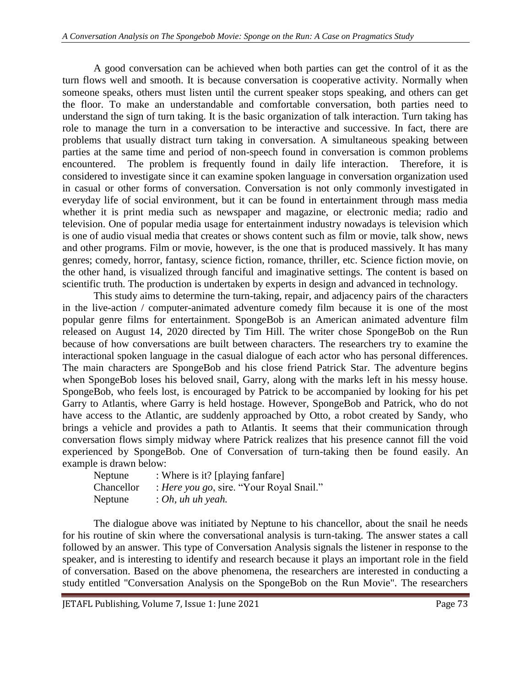A good conversation can be achieved when both parties can get the control of it as the turn flows well and smooth. It is because conversation is cooperative activity. Normally when someone speaks, others must listen until the current speaker stops speaking, and others can get the floor. To make an understandable and comfortable conversation, both parties need to understand the sign of turn taking. It is the basic organization of talk interaction. Turn taking has role to manage the turn in a conversation to be interactive and successive. In fact, there are problems that usually distract turn taking in conversation. A simultaneous speaking between parties at the same time and period of non-speech found in conversation is common problems encountered. The problem is frequently found in daily life interaction. Therefore, it is considered to investigate since it can examine spoken language in conversation organization used in casual or other forms of conversation. Conversation is not only commonly investigated in everyday life of social environment, but it can be found in entertainment through mass media whether it is print media such as newspaper and magazine, or electronic media; radio and television. One of popular media usage for entertainment industry nowadays is television which is one of audio visual media that creates or shows content such as film or movie, talk show, news and other programs. Film or movie, however, is the one that is produced massively. It has many genres; comedy, horror, fantasy, science fiction, romance, thriller, etc. Science fiction movie, on the other hand, is visualized through fanciful and imaginative settings. The content is based on scientific truth. The production is undertaken by experts in design and advanced in technology.

This study aims to determine the turn-taking, repair, and adjacency pairs of the characters in the live-action / computer-animated adventure comedy film because it is one of the most popular genre films for entertainment. SpongeBob is an American animated adventure film released on August 14, 2020 directed by Tim Hill. The writer chose SpongeBob on the Run because of how conversations are built between characters. The researchers try to examine the interactional spoken language in the casual dialogue of each actor who has personal differences. The main characters are SpongeBob and his close friend Patrick Star. The adventure begins when SpongeBob loses his beloved snail, Garry, along with the marks left in his messy house. SpongeBob, who feels lost, is encouraged by Patrick to be accompanied by looking for his pet Garry to Atlantis, where Garry is held hostage. However, SpongeBob and Patrick, who do not have access to the Atlantic, are suddenly approached by Otto, a robot created by Sandy, who brings a vehicle and provides a path to Atlantis. It seems that their communication through conversation flows simply midway where Patrick realizes that his presence cannot fill the void experienced by SpongeBob. One of Conversation of turn-taking then be found easily. An example is drawn below:

| Neptune    | : Where is it? [playing fanfare]         |
|------------|------------------------------------------|
| Chancellor | : Here you go, sire. "Your Royal Snail." |
| Neptune    | $: Oh, uhuh$ yeah.                       |

The dialogue above was initiated by Neptune to his chancellor, about the snail he needs for his routine of skin where the conversational analysis is turn-taking. The answer states a call followed by an answer. This type of Conversation Analysis signals the listener in response to the speaker, and is interesting to identify and research because it plays an important role in the field of conversation. Based on the above phenomena, the researchers are interested in conducting a study entitled "Conversation Analysis on the SpongeBob on the Run Movie". The researchers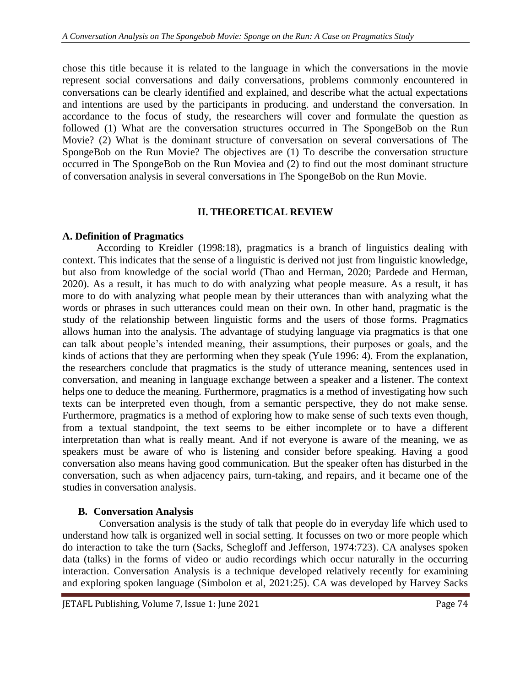chose this title because it is related to the language in which the conversations in the movie represent social conversations and daily conversations, problems commonly encountered in conversations can be clearly identified and explained, and describe what the actual expectations and intentions are used by the participants in producing. and understand the conversation. In accordance to the focus of study, the researchers will cover and formulate the question as followed (1) What are the conversation structures occurred in The SpongeBob on the Run Movie? (2) What is the dominant structure of conversation on several conversations of The SpongeBob on the Run Movie? The objectives are (1) To describe the conversation structure occurred in The SpongeBob on the Run Moviea and (2) to find out the most dominant structure of conversation analysis in several conversations in The SpongeBob on the Run Movie.

#### **II. THEORETICAL REVIEW**

## **A. Definition of Pragmatics**

According to Kreidler (1998:18), pragmatics is a branch of linguistics dealing with context. This indicates that the sense of a linguistic is derived not just from linguistic knowledge, but also from knowledge of the social world (Thao and Herman, 2020; Pardede and Herman, 2020). As a result, it has much to do with analyzing what people measure. As a result, it has more to do with analyzing what people mean by their utterances than with analyzing what the words or phrases in such utterances could mean on their own. In other hand, pragmatic is the study of the relationship between linguistic forms and the users of those forms. Pragmatics allows human into the analysis. The advantage of studying language via pragmatics is that one can talk about people's intended meaning, their assumptions, their purposes or goals, and the kinds of actions that they are performing when they speak (Yule 1996: 4). From the explanation, the researchers conclude that pragmatics is the study of utterance meaning, sentences used in conversation, and meaning in language exchange between a speaker and a listener. The context helps one to deduce the meaning. Furthermore, pragmatics is a method of investigating how such texts can be interpreted even though, from a semantic perspective, they do not make sense. Furthermore, pragmatics is a method of exploring how to make sense of such texts even though, from a textual standpoint, the text seems to be either incomplete or to have a different interpretation than what is really meant. And if not everyone is aware of the meaning, we as speakers must be aware of who is listening and consider before speaking. Having a good conversation also means having good communication. But the speaker often has disturbed in the conversation, such as when adjacency pairs, turn-taking, and repairs, and it became one of the studies in conversation analysis.

## **B. Conversation Analysis**

Conversation analysis is the study of talk that people do in everyday life which used to understand how talk is organized well in social setting. It focusses on two or more people which do interaction to take the turn (Sacks, Schegloff and Jefferson, 1974:723). CA analyses spoken data (talks) in the forms of video or audio recordings which occur naturally in the occurring interaction. Conversation Analysis is a technique developed relatively recently for examining and exploring spoken language (Simbolon et al, 2021:25). CA was developed by Harvey Sacks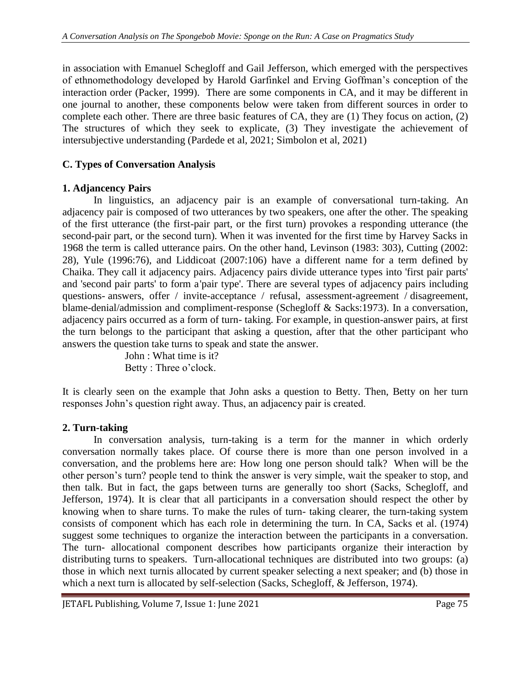in association with Emanuel Schegloff and Gail Jefferson, which emerged with the perspectives of ethnomethodology developed by Harold Garfinkel and Erving Goffman's conception of the interaction order (Packer, 1999). There are some components in CA, and it may be different in one journal to another, these components below were taken from different sources in order to complete each other. There are three basic features of CA, they are (1) They focus on action, (2) The structures of which they seek to explicate, (3) They investigate the achievement of intersubjective understanding (Pardede et al, 2021; Simbolon et al, 2021)

# **C. Types of Conversation Analysis**

## **1. Adjancency Pairs**

In linguistics, an adjacency pair is an example of conversational turn-taking. An adjacency pair is composed of two utterances by two speakers, one after the other. The speaking of the first utterance (the first-pair part, or the first turn) provokes a responding utterance (the second-pair part, or the second turn). When it was invented for the first time by Harvey Sacks in 1968 the term is called utterance pairs. On the other hand, Levinson (1983: 303), Cutting (2002: 28), Yule (1996:76), and Liddicoat (2007:106) have a different name for a term defined by Chaika. They call it adjacency pairs. Adjacency pairs divide utterance types into 'first pair parts' and 'second pair parts' to form a'pair type'. There are several types of adjacency pairs including questions- answers, offer / invite-acceptance / refusal, assessment-agreement / disagreement, blame-denial/admission and compliment-response (Schegloff & Sacks:1973). In a conversation, adjacency pairs occurred as a form of turn- taking. For example, in question-answer pairs, at first the turn belongs to the participant that asking a question, after that the other participant who answers the question take turns to speak and state the answer.

John : What time is it? Betty : Three o'clock.

It is clearly seen on the example that John asks a question to Betty. Then, Betty on her turn responses John's question right away. Thus, an adjacency pair is created.

## **2. Turn-taking**

In conversation analysis, turn-taking is a term for the manner in which orderly conversation normally takes place. Of course there is more than one person involved in a conversation, and the problems here are: How long one person should talk? When will be the other person's turn? people tend to think the answer is very simple, wait the speaker to stop, and then talk. But in fact, the gaps between turns are generally too short (Sacks, Schegloff, and Jefferson, 1974). It is clear that all participants in a conversation should respect the other by knowing when to share turns. To make the rules of turn- taking clearer, the turn-taking system consists of component which has each role in determining the turn. In CA, Sacks et al. (1974) suggest some techniques to organize the interaction between the participants in a conversation. The turn- allocational component describes how participants organize their interaction by distributing turns to speakers. Turn-allocational techniques are distributed into two groups: (a) those in which next turnis allocated by current speaker selecting a next speaker; and (b) those in which a next turn is allocated by self-selection (Sacks, Schegloff, & Jefferson, 1974).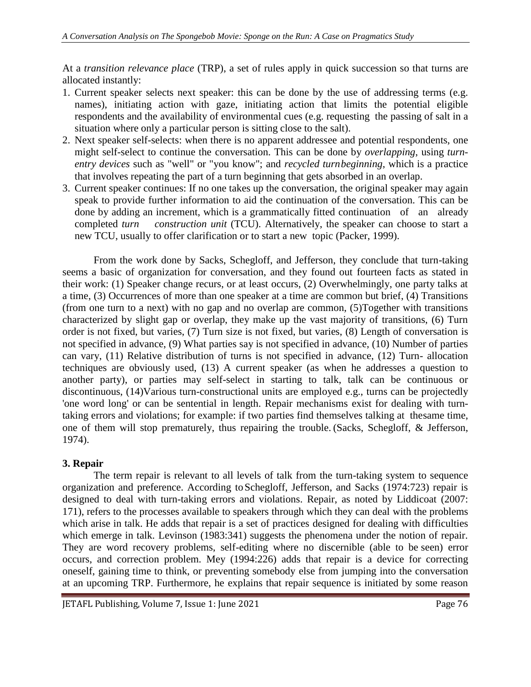At a *transition relevance place* (TRP), a set of rules apply in quick succession so that turns are allocated instantly:

- 1. Current speaker selects next speaker: this can be done by the use of addressing terms (e.g. names), initiating action with gaze, initiating action that limits the potential eligible respondents and the availability of environmental cues (e.g. requesting the passing of salt in a situation where only a particular person is sitting close to the salt).
- 2. Next speaker self-selects: when there is no apparent addressee and potential respondents, one might self-select to continue the conversation. This can be done by *overlapping*, using *turnentry devices* such as "well" or "you know"; and *recycled turnbeginning*, which is a practice that involves repeating the part of a turn beginning that gets absorbed in an overlap.
- 3. Current speaker continues: If no one takes up the conversation, the original speaker may again speak to provide further information to aid the continuation of the conversation. This can be done by adding an increment, which is a grammatically fitted continuation of an already completed *turn construction unit* (TCU). Alternatively, the speaker can choose to start a new TCU, usually to offer clarification or to start a new topic (Packer, 1999).

From the work done by Sacks, Schegloff, and Jefferson, they conclude that turn-taking seems a basic of organization for conversation, and they found out fourteen facts as stated in their work: (1) Speaker change recurs, or at least occurs, (2) Overwhelmingly, one party talks at a time, (3) Occurrences of more than one speaker at a time are common but brief, (4) Transitions (from one turn to a next) with no gap and no overlap are common, (5)Together with transitions characterized by slight gap or overlap, they make up the vast majority of transitions, (6) Turn order is not fixed, but varies, (7) Turn size is not fixed, but varies, (8) Length of conversation is not specified in advance, (9) What parties say is not specified in advance, (10) Number of parties can vary, (11) Relative distribution of turns is not specified in advance, (12) Turn- allocation techniques are obviously used, (13) A current speaker (as when he addresses a question to another party), or parties may self-select in starting to talk, talk can be continuous or discontinuous, (14)Various turn-constructional units are employed e.g., turns can be projectedly 'one word long' or can be sentential in length. Repair mechanisms exist for dealing with turntaking errors and violations; for example: if two parties find themselves talking at thesame time, one of them will stop prematurely, thus repairing the trouble. (Sacks, Schegloff, & Jefferson, 1974).

#### **3. Repair**

The term repair is relevant to all levels of talk from the turn-taking system to sequence organization and preference. According toSchegloff, Jefferson, and Sacks (1974:723) repair is designed to deal with turn-taking errors and violations. Repair, as noted by Liddicoat (2007: 171), refers to the processes available to speakers through which they can deal with the problems which arise in talk. He adds that repair is a set of practices designed for dealing with difficulties which emerge in talk. Levinson (1983:341) suggests the phenomena under the notion of repair. They are word recovery problems, self-editing where no discernible (able to be seen) error occurs, and correction problem. Mey (1994:226) adds that repair is a device for correcting oneself, gaining time to think, or preventing somebody else from jumping into the conversation at an upcoming TRP. Furthermore, he explains that repair sequence is initiated by some reason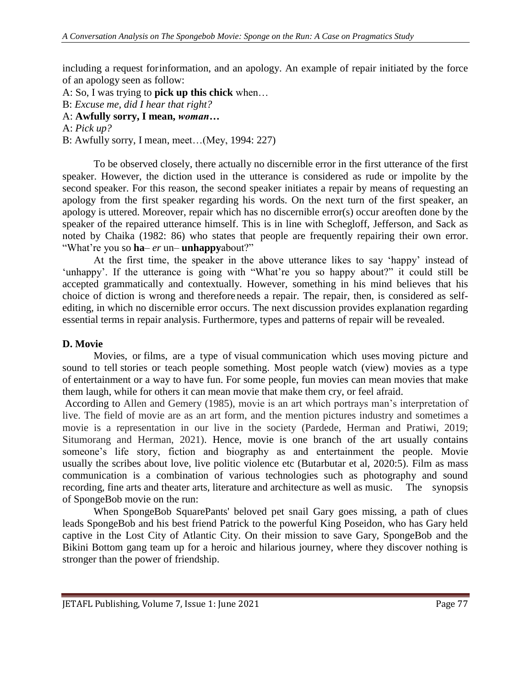including a request forinformation, and an apology. An example of repair initiated by the force of an apology seen as follow:

- A: So, I was trying to **pick up this chick** when…
- B: *Excuse me, did I hear that right?*
- A: **Awfully sorry, I mean,** *woman…*

A: *Pick up?*

B: Awfully sorry, I mean, meet…(Mey, 1994: 227)

To be observed closely, there actually no discernible error in the first utterance of the first speaker. However, the diction used in the utterance is considered as rude or impolite by the second speaker. For this reason, the second speaker initiates a repair by means of requesting an apology from the first speaker regarding his words. On the next turn of the first speaker, an apology is uttered. Moreover, repair which has no discernible error(s) occur areoften done by the speaker of the repaired utterance himself. This is in line with Schegloff, Jefferson, and Sack as noted by Chaika (1982: 86) who states that people are frequently repairing their own error. "What're you so **ha**– *er* un– **unhappy**about?"

At the first time, the speaker in the above utterance likes to say 'happy' instead of 'unhappy'. If the utterance is going with "What're you so happy about?" it could still be accepted grammatically and contextually. However, something in his mind believes that his choice of diction is wrong and therefore needs a repair. The repair, then, is considered as selfediting, in which no discernible error occurs. The next discussion provides explanation regarding essential terms in repair analysis. Furthermore, types and patterns of repair will be revealed.

#### **D. Movie**

Movies, or films, are a type of visual communication which uses moving picture and sound to tell stories or teach people something. Most people watch (view) movies as a type of entertainment or a way to have fun. For some people, fun movies can mean movies that make them laugh, while for others it can mean movie that make them cry, or feel afraid.

According to Allen and Gemery (1985), movie is an art which portrays man's interpretation of live. The field of movie are as an art form, and the mention pictures industry and sometimes a movie is a representation in our live in the society (Pardede, Herman and Pratiwi, 2019; Situmorang and Herman, 2021). Hence, movie is one branch of the art usually contains someone's life story, fiction and biography as and entertainment the people. Movie usually the scribes about love, live politic violence etc (Butarbutar et al, 2020:5). Film as mass communication is a combination of various technologies such as photography and sound recording, fine arts and theater arts, literature and architecture as well as music. The synopsis of SpongeBob movie on the run:

When SpongeBob SquarePants' beloved pet snail Gary goes missing, a path of clues leads SpongeBob and his best friend Patrick to the powerful King Poseidon, who has Gary held captive in the Lost City of Atlantic City. On their mission to save Gary, SpongeBob and the Bikini Bottom gang team up for a heroic and hilarious journey, where they discover nothing is stronger than the power of friendship.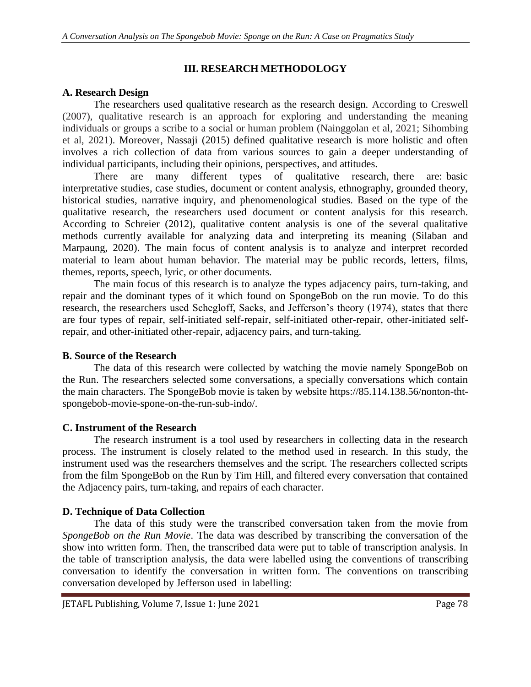## **III. RESEARCH METHODOLOGY**

## **A. Research Design**

The researchers used qualitative research as the research design. According to Creswell (2007), qualitative research is an approach for exploring and understanding the meaning individuals or groups a scribe to a social or human problem (Nainggolan et al, 2021; Sihombing et al, 2021). Moreover, Nassaji (2015) defined qualitative research is more holistic and often involves a rich collection of data from various sources to gain a deeper understanding of individual participants, including their opinions, perspectives, and attitudes.

There are many different types of qualitative research, there are: basic interpretative studies, case studies, document or content analysis, ethnography, grounded theory, historical studies, narrative inquiry, and phenomenological studies. Based on the type of the qualitative research, the researchers used document or content analysis for this research. According to Schreier (2012), qualitative content analysis is one of the several qualitative methods currently available for analyzing data and interpreting its meaning (Silaban and Marpaung, 2020). The main focus of content analysis is to analyze and interpret recorded material to learn about human behavior. The material may be public records, letters, films, themes, reports, speech, lyric, or other documents.

The main focus of this research is to analyze the types adjacency pairs, turn-taking, and repair and the dominant types of it which found on SpongeBob on the run movie. To do this research, the researchers used Schegloff, Sacks, and Jefferson's theory (1974), states that there are four types of repair, self-initiated self-repair, self-initiated other-repair, other-initiated selfrepair, and other-initiated other-repair, adjacency pairs, and turn-taking.

#### **B. Source of the Research**

The data of this research were collected by watching the movie namely SpongeBob on the Run. The researchers selected some conversations, a specially conversations which contain the main characters. The SpongeBob movie is taken by website https://85.114.138.56/nonton-thtspongebob-movie-spone-on-the-run-sub-indo/.

#### **C. Instrument of the Research**

The research instrument is a tool used by researchers in collecting data in the research process. The instrument is closely related to the method used in research. In this study, the instrument used was the researchers themselves and the script. The researchers collected scripts from the film SpongeBob on the Run by Tim Hill, and filtered every conversation that contained the Adjacency pairs, turn-taking, and repairs of each character.

## **D. Technique of Data Collection**

The data of this study were the transcribed conversation taken from the movie from *SpongeBob on the Run Movie*. The data was described by transcribing the conversation of the show into written form. Then, the transcribed data were put to table of transcription analysis. In the table of transcription analysis, the data were labelled using the conventions of transcribing conversation to identify the conversation in written form. The conventions on transcribing conversation developed by Jefferson used in labelling: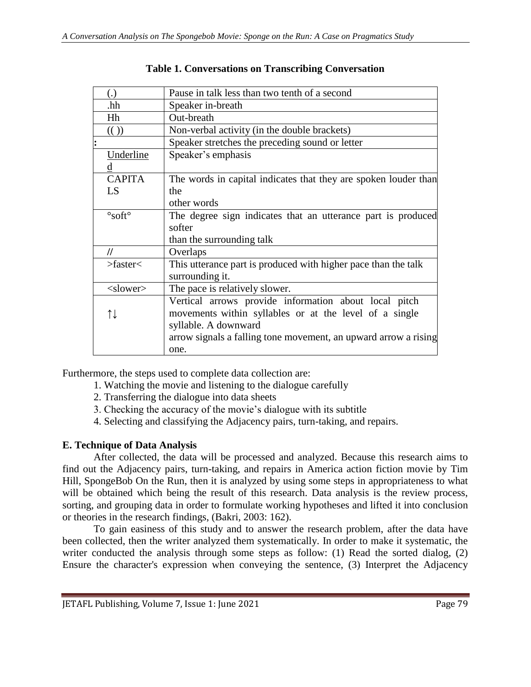|            | (.)                                                                              | Pause in talk less than two tenth of a second                   |  |  |  |
|------------|----------------------------------------------------------------------------------|-----------------------------------------------------------------|--|--|--|
|            | .hh                                                                              | Speaker in-breath                                               |  |  |  |
|            | Hh                                                                               | Out-breath                                                      |  |  |  |
|            | $\left(\binom{1}{2}\right)$                                                      | Non-verbal activity (in the double brackets)                    |  |  |  |
|            |                                                                                  | Speaker stretches the preceding sound or letter                 |  |  |  |
|            | Underline                                                                        | Speaker's emphasis                                              |  |  |  |
|            | d                                                                                |                                                                 |  |  |  |
|            | <b>CAPITA</b><br>The words in capital indicates that they are spoken louder than |                                                                 |  |  |  |
|            | LS                                                                               | the                                                             |  |  |  |
|            |                                                                                  | other words                                                     |  |  |  |
|            | The degree sign indicates that an utterance part is produced                     |                                                                 |  |  |  |
|            |                                                                                  | softer                                                          |  |  |  |
|            |                                                                                  | than the surrounding talk                                       |  |  |  |
|            | 11<br>Overlaps                                                                   |                                                                 |  |  |  |
| > faster < |                                                                                  | This utterance part is produced with higher pace than the talk  |  |  |  |
|            |                                                                                  | surrounding it.                                                 |  |  |  |
|            | $<$ slower $>$                                                                   | The pace is relatively slower.                                  |  |  |  |
|            |                                                                                  | Vertical arrows provide information about local pitch           |  |  |  |
|            | ↑↓                                                                               | movements within syllables or at the level of a single          |  |  |  |
|            |                                                                                  | syllable. A downward                                            |  |  |  |
|            |                                                                                  | arrow signals a falling tone movement, an upward arrow a rising |  |  |  |
|            |                                                                                  | one.                                                            |  |  |  |

## **Table 1. Conversations on Transcribing Conversation**

Furthermore, the steps used to complete data collection are:

- 1. Watching the movie and listening to the dialogue carefully
- 2. Transferring the dialogue into data sheets
- 3. Checking the accuracy of the movie's dialogue with its subtitle
- 4. Selecting and classifying the Adjacency pairs, turn-taking, and repairs.

## **E. Technique of Data Analysis**

After collected, the data will be processed and analyzed. Because this research aims to find out the Adjacency pairs, turn-taking, and repairs in America action fiction movie by Tim Hill, SpongeBob On the Run, then it is analyzed by using some steps in appropriateness to what will be obtained which being the result of this research. Data analysis is the review process, sorting, and grouping data in order to formulate working hypotheses and lifted it into conclusion or theories in the research findings, (Bakri, 2003: 162).

To gain easiness of this study and to answer the research problem, after the data have been collected, then the writer analyzed them systematically. In order to make it systematic, the writer conducted the analysis through some steps as follow: (1) Read the sorted dialog, (2) Ensure the character's expression when conveying the sentence, (3) Interpret the Adjacency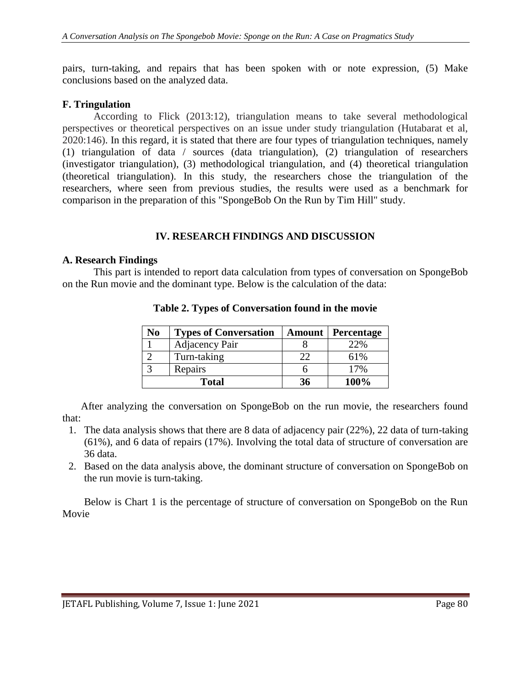pairs, turn-taking, and repairs that has been spoken with or note expression, (5) Make conclusions based on the analyzed data.

## **F. Tringulation**

According to Flick (2013:12), triangulation means to take several methodological perspectives or theoretical perspectives on an issue under study triangulation (Hutabarat et al, 2020:146). In this regard, it is stated that there are four types of triangulation techniques, namely (1) triangulation of data / sources (data triangulation), (2) triangulation of researchers (investigator triangulation), (3) methodological triangulation, and (4) theoretical triangulation (theoretical triangulation). In this study, the researchers chose the triangulation of the researchers, where seen from previous studies, the results were used as a benchmark for comparison in the preparation of this "SpongeBob On the Run by Tim Hill" study.

## **IV. RESEARCH FINDINGS AND DISCUSSION**

#### **A. Research Findings**

This part is intended to report data calculation from types of conversation on SpongeBob on the Run movie and the dominant type. Below is the calculation of the data:

| No | <b>Types of Conversation</b> | <b>Amount</b> | <b>Percentage</b> |
|----|------------------------------|---------------|-------------------|
|    | Adjacency Pair               |               | 22%               |
|    | Turn-taking                  | 22            | 61%               |
|    | Repairs                      |               | 17%               |
|    | <b>Total</b>                 | 36            | 100%              |

**Table 2. Types of Conversation found in the movie**

After analyzing the conversation on SpongeBob on the run movie, the researchers found that:

- 1. The data analysis shows that there are 8 data of adjacency pair (22%), 22 data of turn-taking (61%), and 6 data of repairs (17%). Involving the total data of structure of conversation are 36 data.
- 2. Based on the data analysis above, the dominant structure of conversation on SpongeBob on the run movie is turn-taking.

Below is Chart 1 is the percentage of structure of conversation on SpongeBob on the Run Movie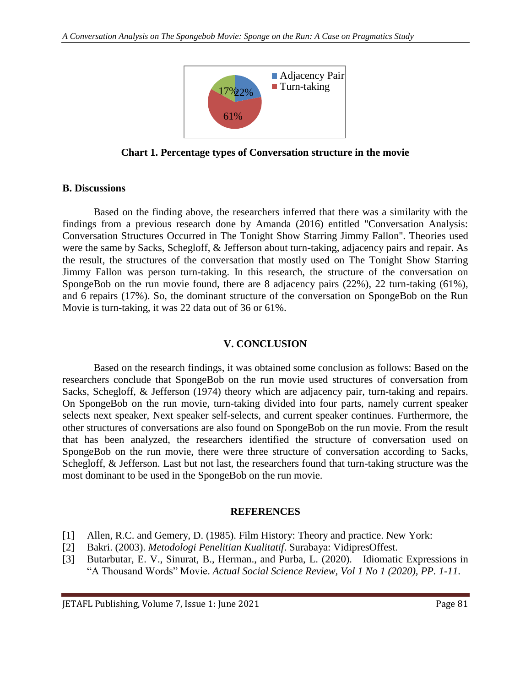

**Chart 1. Percentage types of Conversation structure in the movie**

#### **B. Discussions**

Based on the finding above, the researchers inferred that there was a similarity with the findings from a previous research done by Amanda (2016) entitled "Conversation Analysis: Conversation Structures Occurred in The Tonight Show Starring Jimmy Fallon". Theories used were the same by Sacks, Schegloff, & Jefferson about turn-taking, adjacency pairs and repair. As the result, the structures of the conversation that mostly used on The Tonight Show Starring Jimmy Fallon was person turn-taking. In this research, the structure of the conversation on SpongeBob on the run movie found, there are 8 adjacency pairs (22%), 22 turn-taking (61%), and 6 repairs (17%). So, the dominant structure of the conversation on SpongeBob on the Run Movie is turn-taking, it was 22 data out of 36 or 61%.

#### **V. CONCLUSION**

Based on the research findings, it was obtained some conclusion as follows: Based on the researchers conclude that SpongeBob on the run movie used structures of conversation from Sacks, Schegloff, & Jefferson (1974) theory which are adjacency pair, turn-taking and repairs. On SpongeBob on the run movie, turn-taking divided into four parts, namely current speaker selects next speaker, Next speaker self-selects, and current speaker continues. Furthermore, the other structures of conversations are also found on SpongeBob on the run movie. From the result that has been analyzed, the researchers identified the structure of conversation used on SpongeBob on the run movie, there were three structure of conversation according to Sacks, Schegloff, & Jefferson. Last but not last, the researchers found that turn-taking structure was the most dominant to be used in the SpongeBob on the run movie.

#### **REFERENCES**

- [1] Allen, R.C. and Gemery, D. (1985). Film History: Theory and practice. New York:
- [2] Bakri. (2003). *Metodologi Penelitian Kualitatif*. Surabaya: VidipresOffest.
- [3] Butarbutar, E. V., Sinurat, B., Herman., and Purba, L. (2020). Idiomatic Expressions in "A Thousand Words" Movie. *Actual Social Science Review, Vol 1 No 1 (2020), PP. 1-11*.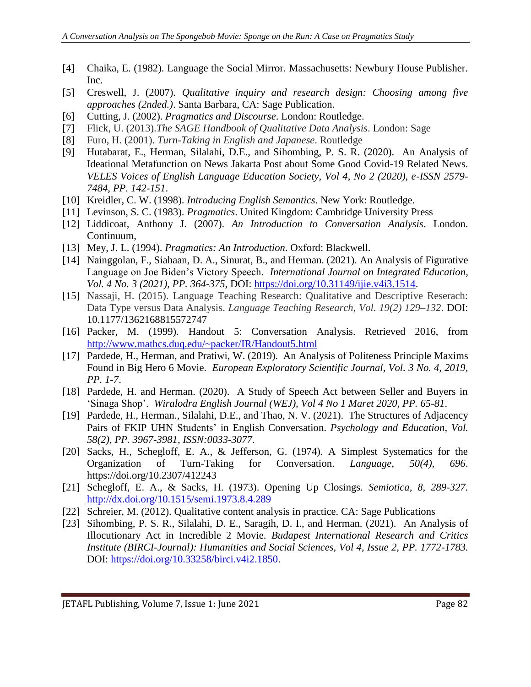- [4] Chaika, E. (1982). Language the Social Mirror. Massachusetts: Newbury House Publisher. Inc.
- [5] Creswell, J. (2007). *Qualitative inquiry and research design: Choosing among five approaches (2nded.)*. Santa Barbara, CA: Sage Publication.
- [6] Cutting, J. (2002). *Pragmatics and Discourse*. London: Routledge.
- [7] Flick, U. (2013).*The SAGE Handbook of Qualitative Data Analysis*. London: Sage
- [8] Furo, H. (2001). *Turn-Taking in English and Japanese*. Routledge
- [9] Hutabarat, E., Herman, Silalahi, D.E., and Sihombing, P. S. R. (2020). An Analysis of Ideational Metafunction on News Jakarta Post about Some Good Covid-19 Related News. *VELES Voices of English Language Education Society, Vol 4, No 2 (2020), e-ISSN 2579- 7484, PP. 142-151*.
- [10] Kreidler, C. W. (1998). *Introducing English Semantics*. New York: Routledge.
- [11] Levinson, S. C. (1983). *Pragmatics*. United Kingdom: Cambridge University Press
- [12] Liddicoat, Anthony J. (2007). *An Introduction to Conversation Analysis*. London. Continuum,
- [13] Mey, J. L. (1994). *Pragmatics: An Introduction*. Oxford: Blackwell.
- [14] Nainggolan, F., Siahaan, D. A., Sinurat, B., and Herman. (2021). An Analysis of Figurative Language on Joe Biden's Victory Speech. *International Journal on Integrated Education, Vol. 4 No. 3 (2021), PP. 364-375*, DOI: [https://doi.org/10.31149/ijie.v4i3.1514.](https://doi.org/10.31149/ijie.v4i3.1514)
- [15] Nassaji, H. (2015). Language Teaching Research: Qualitative and Descriptive Reserach: Data Type versus Data Analysis. *Language Teaching Research, Vol. 19(2) 129–132*. DOI: 10.1177/1362168815572747
- [16] Packer, M. (1999). Handout 5: Conversation Analysis. Retrieved 2016, from <http://www.mathcs.duq.edu/~packer/IR/Handout5.html>
- [17] Pardede, H., Herman, and Pratiwi, W. (2019). An Analysis of Politeness Principle Maxims Found in Big Hero 6 Movie. *European Exploratory Scientific Journal, Vol. 3 No. 4, 2019, PP. 1-7*.
- [18] Pardede, H. and Herman. (2020). A Study of Speech Act between Seller and Buyers in 'Sinaga Shop'. *Wiralodra English Journal (WEJ), Vol 4 No 1 Maret 2020, PP. 65-81*.
- [19] Pardede, H., Herman., Silalahi, D.E., and Thao, N. V. (2021). The Structures of Adjacency Pairs of FKIP UHN Students' in English Conversation. *Psychology and Education, Vol. 58(2), PP. 3967-3981, ISSN:0033-3077*.
- [20] Sacks, H., Schegloff, E. A., & Jefferson, G. (1974). A Simplest Systematics for the Organization of Turn-Taking for Conversation. *Language, 50(4), 696*. https://doi.org/10.2307/412243
- [21] Schegloff, E. A., & Sacks, H. (1973). Opening Up Closings. *Semiotica, 8, 289-327.* <http://dx.doi.org/10.1515/semi.1973.8.4.289>
- [22] Schreier, M. (2012). Qualitative content analysis in practice. CA: Sage Publications
- [23] Sihombing, P. S. R., Silalahi, D. E., Saragih, D. I., and Herman. (2021). An Analysis of Illocutionary Act in Incredible 2 Movie. *Budapest International Research and Critics Institute (BIRCI-Journal): Humanities and Social Sciences, Vol 4, Issue 2, PP. 1772-1783.* DOI: [https://doi.org/10.33258/birci.v4i2.1850.](https://doi.org/10.33258/birci.v4i2.1850)